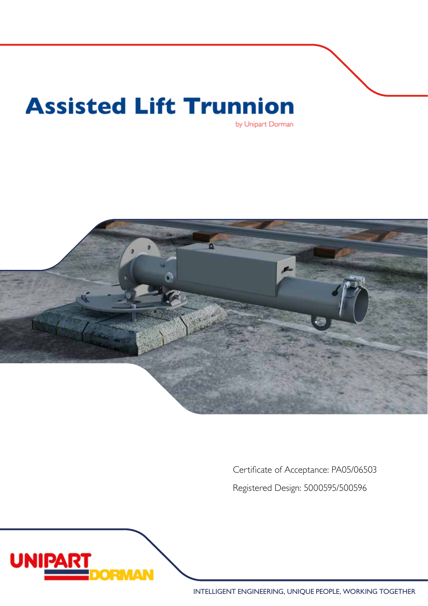# **Assisted Lift Trunnion** by Unipart Dorman



Certificate of Acceptance: PA05/06503 Registered Design: 5000595/500596



INTELLIGENT ENGINEERING, UNIQUE PEOPLE, WORKING TOGETHER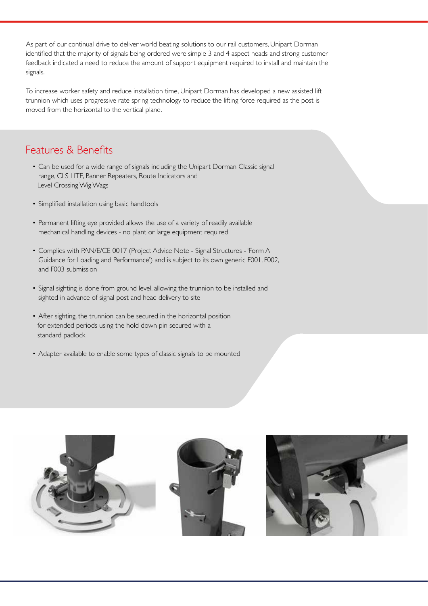As part of our continual drive to deliver world beating solutions to our rail customers, Unipart Dorman identified that the majority of signals being ordered were simple 3 and 4 aspect heads and strong customer feedback indicated a need to reduce the amount of support equipment required to install and maintain the signals.

To increase worker safety and reduce installation time, Unipart Dorman has developed a new assisted lift trunnion which uses progressive rate spring technology to reduce the lifting force required as the post is moved from the horizontal to the vertical plane.

#### Features & Benefits

- Can be used for a wide range of signals including the Unipart Dorman Classic signal range, CLS LITE, Banner Repeaters, Route Indicators and Level Crossing Wig Wags
- Simplified installation using basic handtools
- Permanent lifting eye provided allows the use of a variety of readily available mechanical handling devices - no plant or large equipment required
- Complies with PAN/E/CE 0017 (Project Advice Note Signal Structures 'Form A Guidance for Loading and Performance') and is subject to its own generic F001, F002, and F003 submission
- Signal sighting is done from ground level, allowing the trunnion to be installed and sighted in advance of signal post and head delivery to site
- After sighting, the trunnion can be secured in the horizontal position for extended periods using the hold down pin secured with a standard padlock
- Adapter available to enable some types of classic signals to be mounted

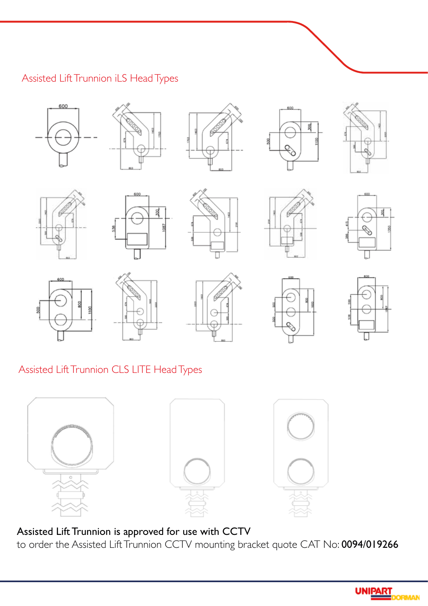## Assisted Lift Trunnion iLS Head Types































Assisted Lift Trunnion CLS LITE Head Types



Assisted Lift Trunnion is approved for use with CCTV to order the Assisted Lift Trunnion CCTV mounting bracket quote CAT No: 0094/019266